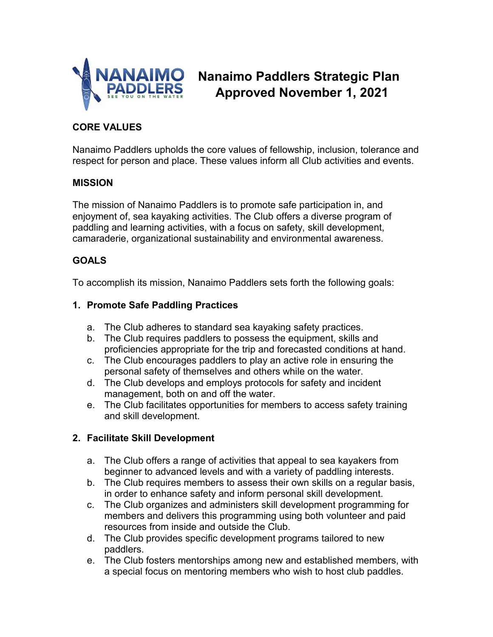

# **Nanaimo Paddlers Strategic Plan Approved November 1, 2021**

# **CORE VALUES**

Nanaimo Paddlers upholds the core values of fellowship, inclusion, tolerance and respect for person and place. These values inform all Club activities and events.

#### **MISSION**

The mission of Nanaimo Paddlers is to promote safe participation in, and enjoyment of, sea kayaking activities. The Club offers a diverse program of paddling and learning activities, with a focus on safety, skill development, camaraderie, organizational sustainability and environmental awareness.

#### **GOALS**

To accomplish its mission, Nanaimo Paddlers sets forth the following goals:

#### **1. Promote Safe Paddling Practices**

- a. The Club adheres to standard sea kayaking safety practices.
- b. The Club requires paddlers to possess the equipment, skills and proficiencies appropriate for the trip and forecasted conditions at hand.
- c. The Club encourages paddlers to play an active role in ensuring the personal safety of themselves and others while on the water.
- d. The Club develops and employs protocols for safety and incident management, both on and off the water.
- e. The Club facilitates opportunities for members to access safety training and skill development.

#### **2. Facilitate Skill Development**

- a. The Club offers a range of activities that appeal to sea kayakers from beginner to advanced levels and with a variety of paddling interests.
- b. The Club requires members to assess their own skills on a regular basis, in order to enhance safety and inform personal skill development.
- c. The Club organizes and administers skill development programming for members and delivers this programming using both volunteer and paid resources from inside and outside the Club.
- d. The Club provides specific development programs tailored to new paddlers.
- e. The Club fosters mentorships among new and established members, with a special focus on mentoring members who wish to host club paddles.